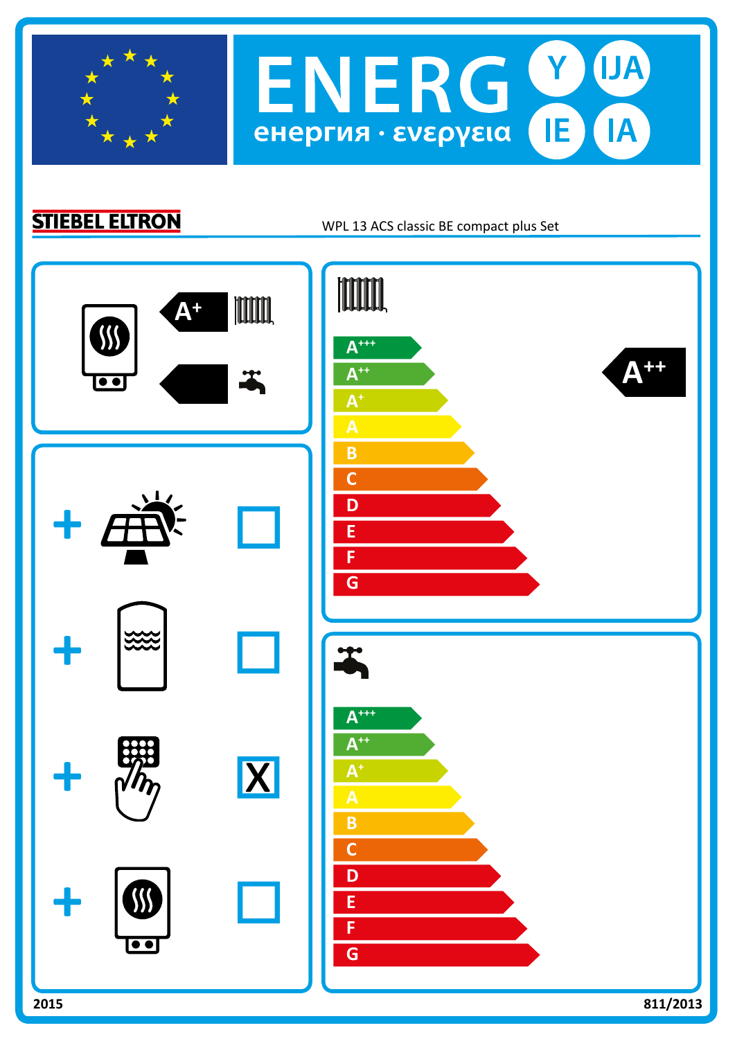

 $(Y)$ **UA ENERG** IE. IA енергия · ενεργεια

**STIEBEL ELTRON** 

WPL 13 ACS classic BE compact plus Set

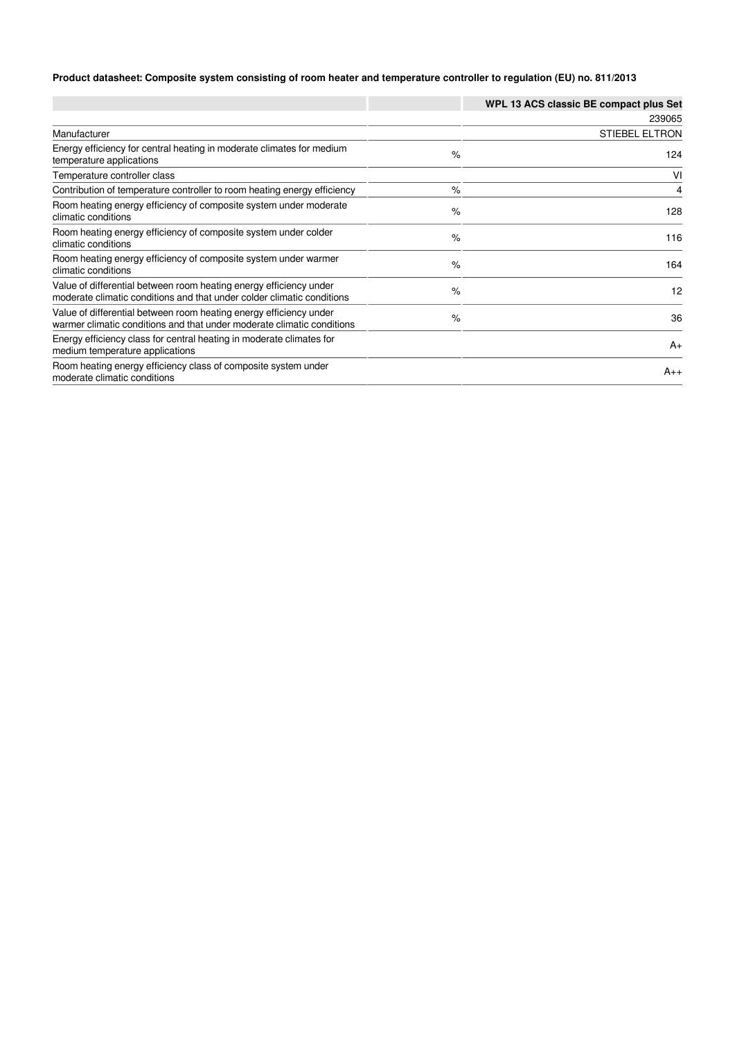## **Product datasheet: Composite system consisting of room heater and temperature controller to regulation (EU) no. 811/2013**

|                                                                                                                                              |      | WPL 13 ACS classic BE compact plus Set |
|----------------------------------------------------------------------------------------------------------------------------------------------|------|----------------------------------------|
|                                                                                                                                              |      | 239065                                 |
| Manufacturer                                                                                                                                 |      | <b>STIEBEL ELTRON</b>                  |
| Energy efficiency for central heating in moderate climates for medium<br>temperature applications                                            | $\%$ | 124                                    |
| Temperature controller class                                                                                                                 |      | VI                                     |
| Contribution of temperature controller to room heating energy efficiency                                                                     | $\%$ | 4                                      |
| Room heating energy efficiency of composite system under moderate<br>climatic conditions                                                     | $\%$ | 128                                    |
| Room heating energy efficiency of composite system under colder<br>climatic conditions                                                       | $\%$ | 116                                    |
| Room heating energy efficiency of composite system under warmer<br>climatic conditions                                                       | $\%$ | 164                                    |
| Value of differential between room heating energy efficiency under<br>moderate climatic conditions and that under colder climatic conditions | $\%$ | 12                                     |
| Value of differential between room heating energy efficiency under<br>warmer climatic conditions and that under moderate climatic conditions | $\%$ | 36                                     |
| Energy efficiency class for central heating in moderate climates for<br>medium temperature applications                                      |      | $A_{+}$                                |
| Room heating energy efficiency class of composite system under<br>moderate climatic conditions                                               |      | $A_{++}$                               |